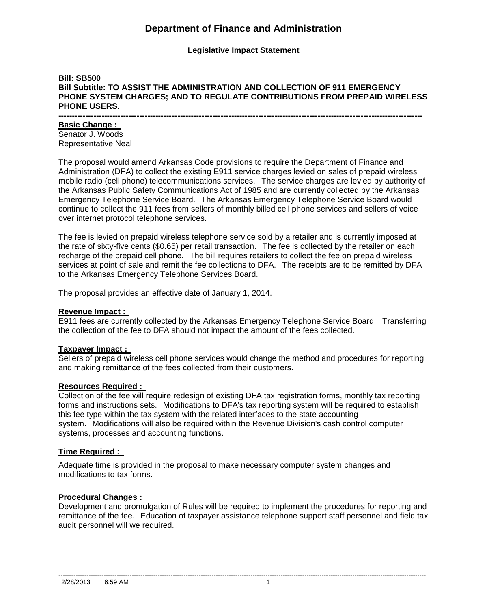# **Department of Finance and Administration**

**Legislative Impact Statement**

## **Bill: SB500 Bill Subtitle: TO ASSIST THE ADMINISTRATION AND COLLECTION OF 911 EMERGENCY PHONE SYSTEM CHARGES; AND TO REGULATE CONTRIBUTIONS FROM PREPAID WIRELESS PHONE USERS.**

**---------------------------------------------------------------------------------------------------------------------------------------**

## **Basic Change :**

Senator J. Woods Representative Neal

The proposal would amend Arkansas Code provisions to require the Department of Finance and Administration (DFA) to collect the existing E911 service charges levied on sales of prepaid wireless mobile radio (cell phone) telecommunications services. The service charges are levied by authority of the Arkansas Public Safety Communications Act of 1985 and are currently collected by the Arkansas Emergency Telephone Service Board. The Arkansas Emergency Telephone Service Board would continue to collect the 911 fees from sellers of monthly billed cell phone services and sellers of voice over internet protocol telephone services.

The fee is levied on prepaid wireless telephone service sold by a retailer and is currently imposed at the rate of sixty-five cents (\$0.65) per retail transaction. The fee is collected by the retailer on each recharge of the prepaid cell phone. The bill requires retailers to collect the fee on prepaid wireless services at point of sale and remit the fee collections to DFA. The receipts are to be remitted by DFA to the Arkansas Emergency Telephone Services Board.

The proposal provides an effective date of January 1, 2014.

#### **Revenue Impact :**

E911 fees are currently collected by the Arkansas Emergency Telephone Service Board. Transferring the collection of the fee to DFA should not impact the amount of the fees collected.

#### **Taxpayer Impact :**

Sellers of prepaid wireless cell phone services would change the method and procedures for reporting and making remittance of the fees collected from their customers.

## **Resources Required :**

Collection of the fee will require redesign of existing DFA tax registration forms, monthly tax reporting forms and instructions sets. Modifications to DFA's tax reporting system will be required to establish this fee type within the tax system with the related interfaces to the state accounting system. Modifications will also be required within the Revenue Division's cash control computer systems, processes and accounting functions.

#### **Time Required :**

Adequate time is provided in the proposal to make necessary computer system changes and modifications to tax forms.

#### **Procedural Changes :**

Development and promulgation of Rules will be required to implement the procedures for reporting and remittance of the fee. Education of taxpayer assistance telephone support staff personnel and field tax audit personnel will we required.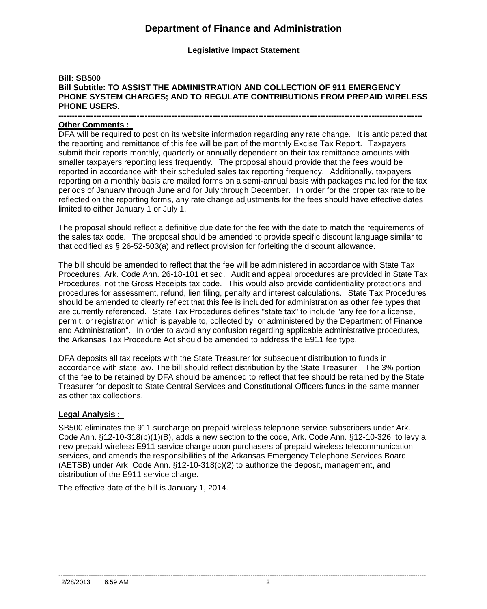# **Department of Finance and Administration**

**Legislative Impact Statement**

## **Bill: SB500 Bill Subtitle: TO ASSIST THE ADMINISTRATION AND COLLECTION OF 911 EMERGENCY PHONE SYSTEM CHARGES; AND TO REGULATE CONTRIBUTIONS FROM PREPAID WIRELESS PHONE USERS.**

#### **--------------------------------------------------------------------------------------------------------------------------------------- Other Comments :**

DFA will be required to post on its website information regarding any rate change. It is anticipated that the reporting and remittance of this fee will be part of the monthly Excise Tax Report. Taxpayers submit their reports monthly, quarterly or annually dependent on their tax remittance amounts with smaller taxpayers reporting less frequently. The proposal should provide that the fees would be reported in accordance with their scheduled sales tax reporting frequency. Additionally, taxpayers reporting on a monthly basis are mailed forms on a semi-annual basis with packages mailed for the tax periods of January through June and for July through December. In order for the proper tax rate to be reflected on the reporting forms, any rate change adjustments for the fees should have effective dates limited to either January 1 or July 1.

The proposal should reflect a definitive due date for the fee with the date to match the requirements of the sales tax code. The proposal should be amended to provide specific discount language similar to that codified as § 26-52-503(a) and reflect provision for forfeiting the discount allowance.

The bill should be amended to reflect that the fee will be administered in accordance with State Tax Procedures, Ark. Code Ann. 26-18-101 et seq. Audit and appeal procedures are provided in State Tax Procedures, not the Gross Receipts tax code. This would also provide confidentiality protections and procedures for assessment, refund, lien filing, penalty and interest calculations. State Tax Procedures should be amended to clearly reflect that this fee is included for administration as other fee types that are currently referenced. State Tax Procedures defines "state tax" to include "any fee for a license, permit, or registration which is payable to, collected by, or administered by the Department of Finance and Administration". In order to avoid any confusion regarding applicable administrative procedures, the Arkansas Tax Procedure Act should be amended to address the E911 fee type.

DFA deposits all tax receipts with the State Treasurer for subsequent distribution to funds in accordance with state law. The bill should reflect distribution by the State Treasurer. The 3% portion of the fee to be retained by DFA should be amended to reflect that fee should be retained by the State Treasurer for deposit to State Central Services and Constitutional Officers funds in the same manner as other tax collections.

#### **Legal Analysis :**

SB500 eliminates the 911 surcharge on prepaid wireless telephone service subscribers under Ark. Code Ann. §12-10-318(b)(1)(B), adds a new section to the code, Ark. Code Ann. §12-10-326, to levy a new prepaid wireless E911 service charge upon purchasers of prepaid wireless telecommunication services, and amends the responsibilities of the Arkansas Emergency Telephone Services Board (AETSB) under Ark. Code Ann. §12-10-318(c)(2) to authorize the deposit, management, and distribution of the E911 service charge.

--------------------------------------------------------------------------------------------------------------------------------------------------------------------------

The effective date of the bill is January 1, 2014.